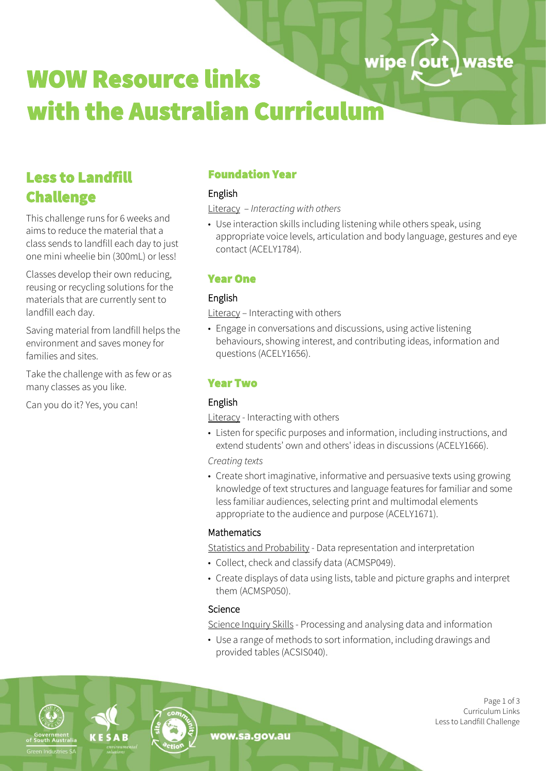# wipe (out) waste WOW Resource links with the Australian Curriculum

# Less to Landfill Challenge

This challenge runs for 6 weeks and aims to reduce the material that a class sends to landfill each day to just one mini wheelie bin (300mL) or less!

Classes develop their own reducing, reusing or recycling solutions for the materials that are currently sent to landfill each day.

Saving material from landfill helps the environment and saves money for families and sites.

Take the challenge with as few or as many classes as you like.

Can you do it? Yes, you can!

# Foundation Year

# English

Literacy – *Interacting with others*

• Use interaction skills including listening while others speak, using appropriate voice levels, articulation and body language, gestures and eye contact (ACELY1784).

# Year One

# English

Literacy - Interacting with others

• Engage in conversations and discussions, using active listening behaviours, showing interest, and contributing ideas, information and questions (ACELY1656).

# Year Two

## English

Literacy - Interacting with others

• Listen for specific purposes and information, including instructions, and extend students' own and others' ideas in discussions (ACELY1666).

*Creating texts*

• Create short imaginative, informative and persuasive texts using growing knowledge of text structures and language features for familiar and some less familiar audiences, selecting print and multimodal elements appropriate to the audience and purpose (ACELY1671).

#### **Mathematics**

Statistics and Probability - Data representation and interpretation

- Collect, check and classify data (ACMSP049).
- Create displays of data using lists, table and picture graphs and interpret them (ACMSP050).

## **Science**

Science Inquiry Skills - Processing and analysing data and information

• Use a range of methods to sort information, including drawings and provided tables (ACSIS040).

Industries S



wow.sa.gov.au

Page 1 of 3 Curriculum Links Less to Landfill Challenge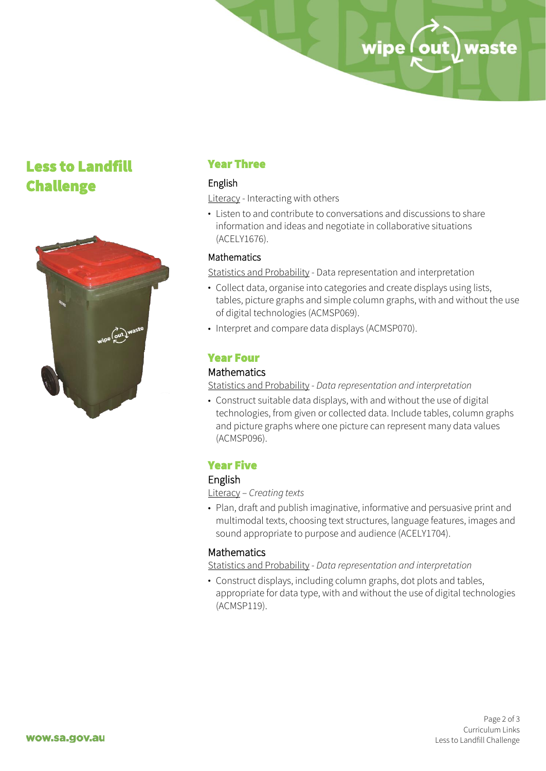# Less to Landfill Challenge



# Year Three

#### English

Literacy - Interacting with others

• Listen to and contribute to conversations and discussions to share information and ideas and negotiate in collaborative situations (ACELY1676).

#### Mathematics

Statistics and Probability - Data representation and interpretation

• Collect data, organise into categories and create displays using lists, tables, picture graphs and simple column graphs, with and without the use of digital technologies (ACMSP069).

wipe (out) waste

• Interpret and compare data displays (ACMSP070).

#### Year Four

#### **Mathematics**

Statistics and Probability - *Data representation and interpretation*

• Construct suitable data displays, with and without the use of digital technologies, from given or collected data. Include tables, column graphs and picture graphs where one picture can represent many data values (ACMSP096).

#### Year Five

#### English

Literacy – *Creating texts*

• Plan, draft and publish imaginative, informative and persuasive print and multimodal texts, choosing text structures, language features, images and sound appropriate to purpose and audience (ACELY1704).

#### **Mathematics**

Statistics and Probability - *Data representation and interpretation*

• Construct displays, including column graphs, dot plots and tables, appropriate for data type, with and without the use of digital technologies (ACMSP119).